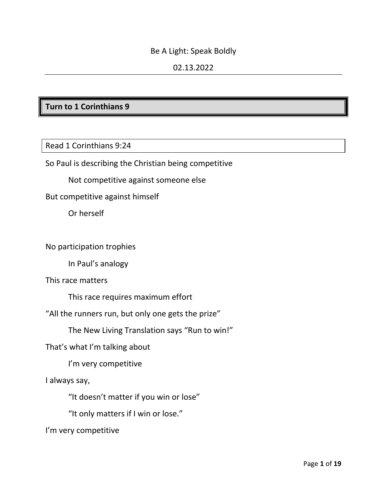#### Be A Light: Speak Boldly

## 02.13.2022

## **Turn to 1 Corinthians 9**

Read 1 Corinthians 9:24

So Paul is describing the Christian being competitive

Not competitive against someone else

But competitive against himself

Or herself

No participation trophies

In Paul's analogy

This race matters

This race requires maximum effort

"All the runners run, but only one gets the prize"

The New Living Translation says "Run to win!"

That's what I'm talking about

I'm very competitive

I always say,

"It doesn't matter if you win or lose"

"It only matters if I win or lose."

I'm very competitive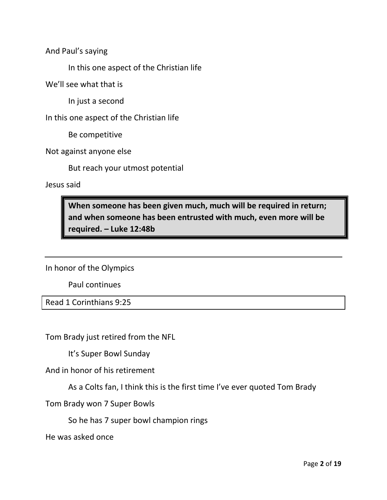And Paul's saying

In this one aspect of the Christian life

We'll see what that is

In just a second

In this one aspect of the Christian life

Be competitive

Not against anyone else

But reach your utmost potential

Jesus said

**When someone has been given much, much will be required in return; and when someone has been entrusted with much, even more will be required. – Luke 12:48b**

In honor of the Olympics

Paul continues

Read 1 Corinthians 9:25

Tom Brady just retired from the NFL

It's Super Bowl Sunday

And in honor of his retirement

As a Colts fan, I think this is the first time I've ever quoted Tom Brady

Tom Brady won 7 Super Bowls

So he has 7 super bowl champion rings

He was asked once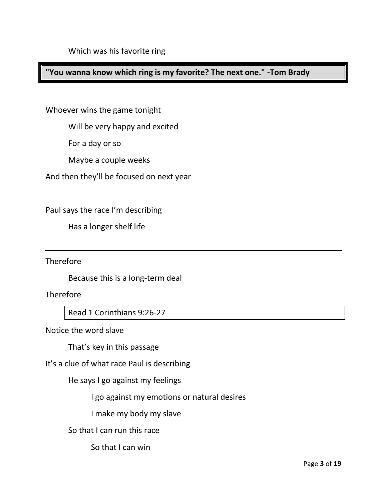## **"You wanna know which ring is my favorite? The next one." -Tom Brady**

Whoever wins the game tonight

Will be very happy and excited

For a day or so

Maybe a couple weeks

And then they'll be focused on next year

Paul says the race I'm describing

Has a longer shelf life

**Therefore** 

Because this is a long-term deal

**Therefore** 

Read 1 Corinthians 9:26-27

Notice the word slave

That's key in this passage

It's a clue of what race Paul is describing

He says I go against my feelings

I go against my emotions or natural desires

I make my body my slave

So that I can run this race

So that I can win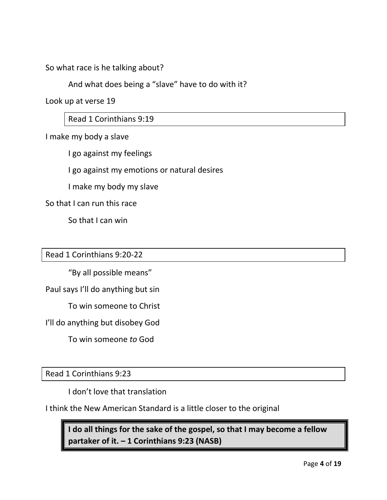So what race is he talking about?

And what does being a "slave" have to do with it?

Look up at verse 19

Read 1 Corinthians 9:19

I make my body a slave

I go against my feelings

I go against my emotions or natural desires

I make my body my slave

So that I can run this race

So that I can win

#### Read 1 Corinthians 9:20-22

"By all possible means"

Paul says I'll do anything but sin

To win someone to Christ

I'll do anything but disobey God

To win someone *to* God

Read 1 Corinthians 9:23

I don't love that translation

I think the New American Standard is a little closer to the original

**I do all things for the sake of the gospel, so that I may become a fellow partaker of it. – 1 Corinthians 9:23 (NASB)**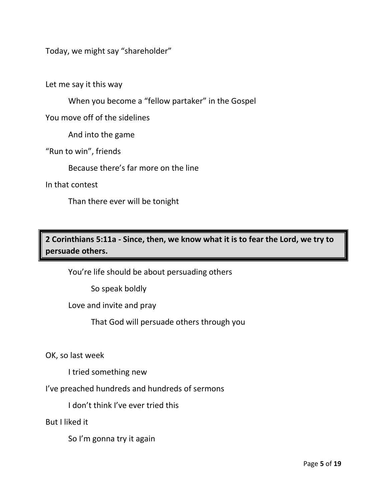Today, we might say "shareholder"

Let me say it this way

When you become a "fellow partaker" in the Gospel

You move off of the sidelines

And into the game

"Run to win", friends

Because there's far more on the line

In that contest

Than there ever will be tonight

**2 Corinthians 5:11a - Since, then, we know what it is to fear the Lord, we try to persuade others.**

You're life should be about persuading others

So speak boldly

Love and invite and pray

That God will persuade others through you

OK, so last week

I tried something new

I've preached hundreds and hundreds of sermons

I don't think I've ever tried this

But I liked it

So I'm gonna try it again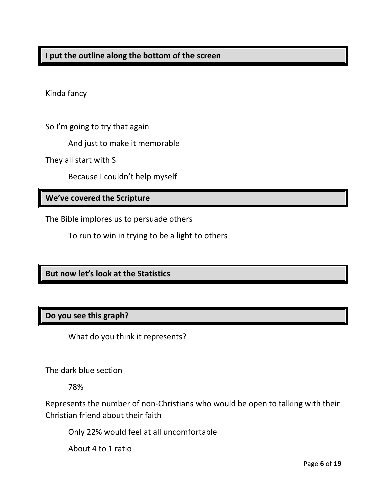Kinda fancy

So I'm going to try that again

And just to make it memorable

They all start with S

Because I couldn't help myself

## **We've covered the Scripture**

The Bible implores us to persuade others

To run to win in trying to be a light to others

**But now let's look at the Statistics**

# **Do you see this graph?**

What do you think it represents?

The dark blue section

78%

Represents the number of non-Christians who would be open to talking with their Christian friend about their faith

Only 22% would feel at all uncomfortable

About 4 to 1 ratio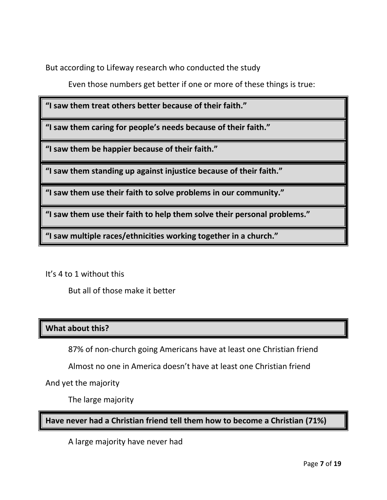But according to Lifeway research who conducted the study

Even those numbers get better if one or more of these things is true:

**"I saw them treat others better because of their faith."**

**"I saw them caring for people's needs because of their faith."**

**"I saw them be happier because of their faith."**

**"I saw them standing up against injustice because of their faith."**

**"I saw them use their faith to solve problems in our community."**

**"I saw them use their faith to help them solve their personal problems."**

**"I saw multiple races/ethnicities working together in a church."**

It's 4 to 1 without this

But all of those make it better

## **What about this?**

87% of non-church going Americans have at least one Christian friend

Almost no one in America doesn't have at least one Christian friend

And yet the majority

The large majority

**Have never had a Christian friend tell them how to become a Christian (71%)**

A large majority have never had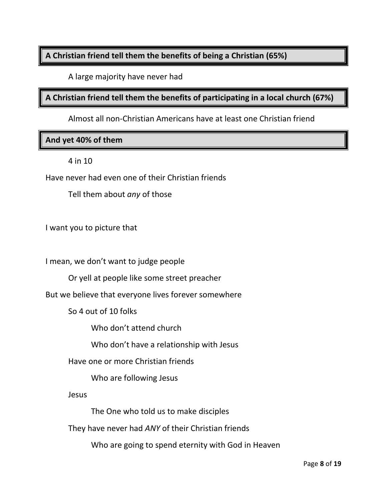## **A Christian friend tell them the benefits of being a Christian (65%)**

A large majority have never had

**A Christian friend tell them the benefits of participating in a local church (67%)**

Almost all non-Christian Americans have at least one Christian friend

**And yet 40% of them**

4 in 10

Have never had even one of their Christian friends

Tell them about *any* of those

I want you to picture that

I mean, we don't want to judge people

Or yell at people like some street preacher

But we believe that everyone lives forever somewhere

So 4 out of 10 folks

Who don't attend church

Who don't have a relationship with Jesus

Have one or more Christian friends

Who are following Jesus

Jesus

The One who told us to make disciples

They have never had *ANY* of their Christian friends

Who are going to spend eternity with God in Heaven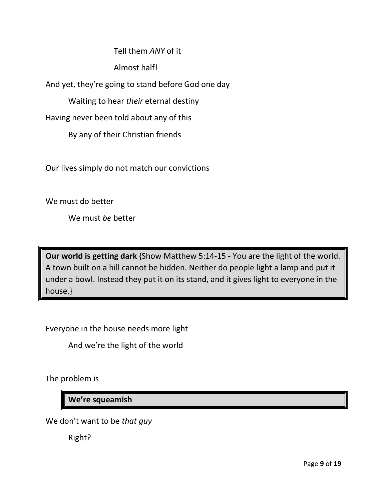Tell them *ANY* of it

Almost half!

And yet, they're going to stand before God one day

Waiting to hear *their* eternal destiny

Having never been told about any of this

By any of their Christian friends

Our lives simply do not match our convictions

We must do better

We must *be* better

**Our world is getting dark** {Show Matthew 5:14-15 - You are the light of the world. A town built on a hill cannot be hidden. Neither do people light a lamp and put it under a bowl. Instead they put it on its stand, and it gives light to everyone in the house.}

Everyone in the house needs more light

And we're the light of the world

The problem is

**We're squeamish**

We don't want to be *that guy*

Right?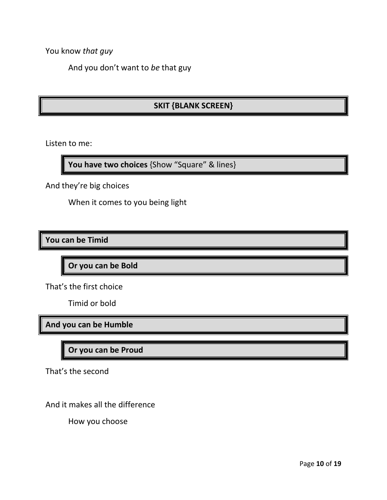You know *that guy*

And you don't want to *be* that guy

# **SKIT {BLANK SCREEN}**

Listen to me:

**You have two choices** {Show "Square" & lines}

And they're big choices

When it comes to you being light

**You can be Timid**

**Or you can be Bold**

That's the first choice

Timid or bold

**And you can be Humble**

**Or you can be Proud**

That's the second

And it makes all the difference

How you choose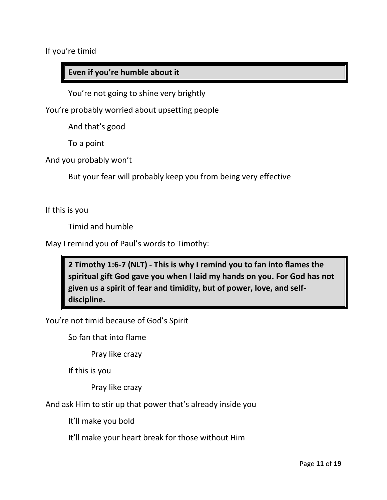If you're timid

## **Even if you're humble about it**

You're not going to shine very brightly

You're probably worried about upsetting people

And that's good

To a point

And you probably won't

But your fear will probably keep you from being very effective

If this is you

Timid and humble

May I remind you of Paul's words to Timothy:

**2 Timothy 1:6-7 (NLT) - This is why I remind you to fan into flames the spiritual gift God gave you when I laid my hands on you. For God has not given us a spirit of fear and timidity, but of power, love, and selfdiscipline.** 

You're not timid because of God's Spirit

So fan that into flame

Pray like crazy

If this is you

Pray like crazy

And ask Him to stir up that power that's already inside you

It'll make you bold

It'll make your heart break for those without Him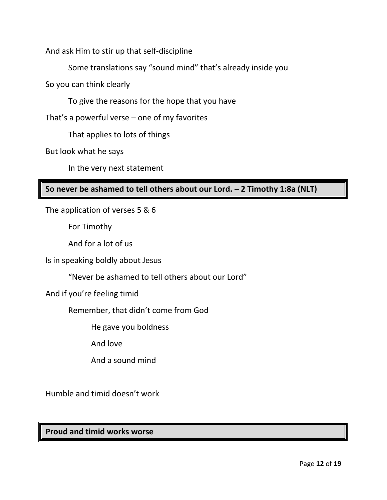And ask Him to stir up that self-discipline

Some translations say "sound mind" that's already inside you

So you can think clearly

To give the reasons for the hope that you have

That's a powerful verse – one of my favorites

That applies to lots of things

But look what he says

In the very next statement

## **So never be ashamed to tell others about our Lord. – 2 Timothy 1:8a (NLT)**

The application of verses 5 & 6

For Timothy

And for a lot of us

Is in speaking boldly about Jesus

"Never be ashamed to tell others about our Lord"

And if you're feeling timid

Remember, that didn't come from God

He gave you boldness

And love

And a sound mind

Humble and timid doesn't work

**Proud and timid works worse**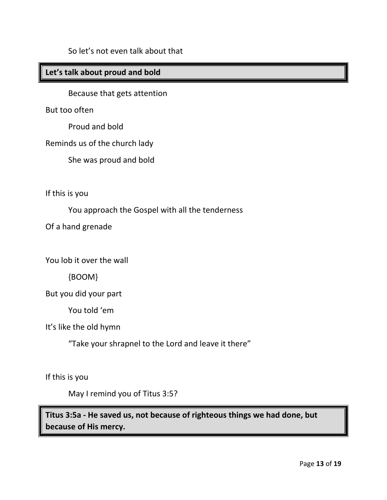### **Let's talk about proud and bold**

Because that gets attention

But too often

Proud and bold

Reminds us of the church lady

She was proud and bold

If this is you

You approach the Gospel with all the tenderness

Of a hand grenade

You lob it over the wall

{BOOM}

But you did your part

You told 'em

It's like the old hymn

"Take your shrapnel to the Lord and leave it there"

If this is you

May I remind you of Titus 3:5?

**Titus 3:5a - He saved us, not because of righteous things we had done, but because of His mercy.**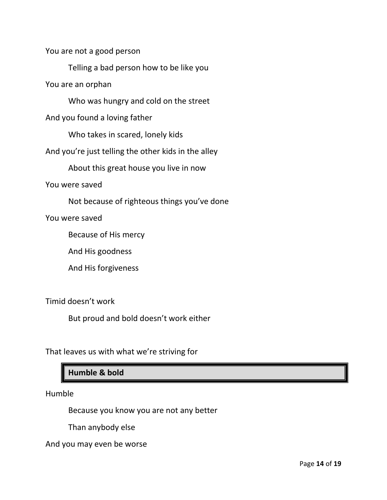You are not a good person

Telling a bad person how to be like you

You are an orphan

Who was hungry and cold on the street

And you found a loving father

Who takes in scared, lonely kids

And you're just telling the other kids in the alley

About this great house you live in now

You were saved

Not because of righteous things you've done

You were saved

Because of His mercy

And His goodness

And His forgiveness

Timid doesn't work

But proud and bold doesn't work either

That leaves us with what we're striving for

**Humble & bold**

Humble

Because you know you are not any better

Than anybody else

And you may even be worse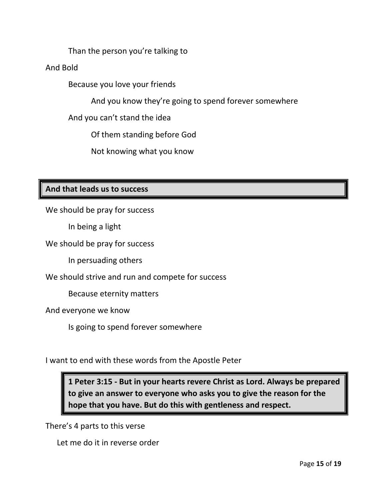Than the person you're talking to

And Bold

Because you love your friends

And you know they're going to spend forever somewhere

And you can't stand the idea

Of them standing before God

Not knowing what you know

### **And that leads us to success**

We should be pray for success

In being a light

We should be pray for success

In persuading others

We should strive and run and compete for success

Because eternity matters

And everyone we know

Is going to spend forever somewhere

I want to end with these words from the Apostle Peter

**1 Peter 3:15 - But in your hearts revere Christ as Lord. Always be prepared to give an answer to everyone who asks you to give the reason for the hope that you have. But do this with gentleness and respect.**

There's 4 parts to this verse

Let me do it in reverse order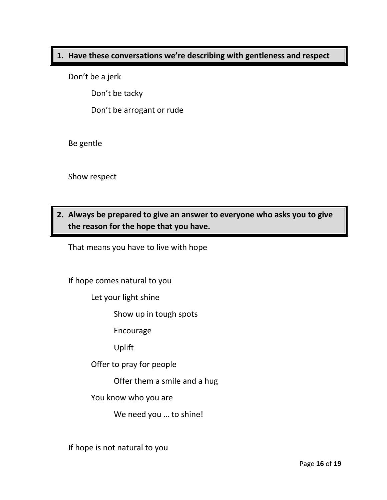#### **1. Have these conversations we're describing with gentleness and respect**

Don't be a jerk

Don't be tacky

Don't be arrogant or rude

Be gentle

Show respect

# **2. Always be prepared to give an answer to everyone who asks you to give the reason for the hope that you have.**

That means you have to live with hope

If hope comes natural to you

Let your light shine

Show up in tough spots

Encourage

Uplift

Offer to pray for people

Offer them a smile and a hug

You know who you are

We need you … to shine!

If hope is not natural to you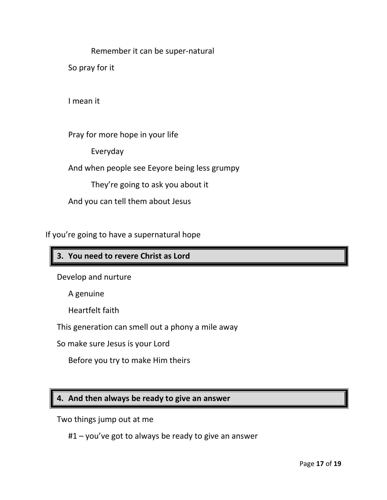Remember it can be super-natural

So pray for it

I mean it

Pray for more hope in your life

Everyday

And when people see Eeyore being less grumpy

They're going to ask you about it

And you can tell them about Jesus

If you're going to have a supernatural hope

## **3. You need to revere Christ as Lord**

Develop and nurture

A genuine

Heartfelt faith

This generation can smell out a phony a mile away

So make sure Jesus is your Lord

Before you try to make Him theirs

### **4. And then always be ready to give an answer**

Two things jump out at me

#1 – you've got to always be ready to give an answer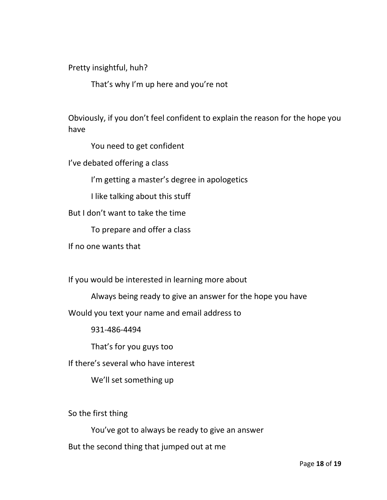Pretty insightful, huh?

That's why I'm up here and you're not

Obviously, if you don't feel confident to explain the reason for the hope you have

You need to get confident

I've debated offering a class

I'm getting a master's degree in apologetics

I like talking about this stuff

But I don't want to take the time

To prepare and offer a class

If no one wants that

If you would be interested in learning more about

Always being ready to give an answer for the hope you have

Would you text your name and email address to

931-486-4494

That's for you guys too

If there's several who have interest

We'll set something up

So the first thing

You've got to always be ready to give an answer

But the second thing that jumped out at me